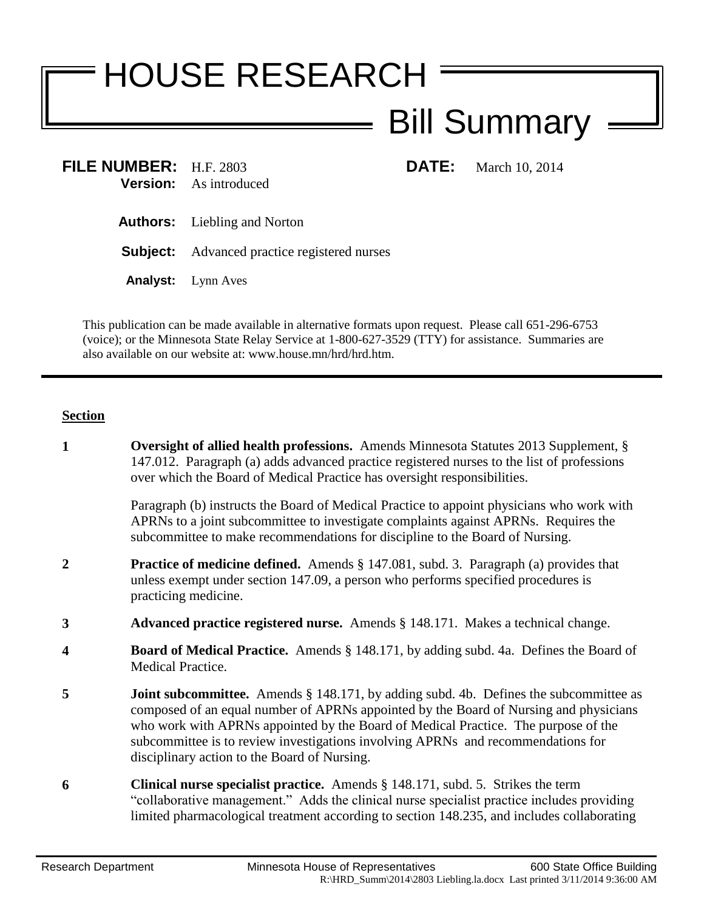## HOUSE RESEARCH Bill Summary

**FILE NUMBER:** H.F. 2803 **DATE:** March 10, 2014 **Version:** As introduced

- **Authors:** Liebling and Norton
- **Subject:** Advanced practice registered nurses
- **Analyst:** Lynn Aves

This publication can be made available in alternative formats upon request. Please call 651-296-6753 (voice); or the Minnesota State Relay Service at 1-800-627-3529 (TTY) for assistance. Summaries are also available on our website at: www.house.mn/hrd/hrd.htm.

## **Section**

**1 Oversight of allied health professions.** Amends Minnesota Statutes 2013 Supplement, § 147.012. Paragraph (a) adds advanced practice registered nurses to the list of professions over which the Board of Medical Practice has oversight responsibilities. Paragraph (b) instructs the Board of Medical Practice to appoint physicians who work with APRNs to a joint subcommittee to investigate complaints against APRNs. Requires the subcommittee to make recommendations for discipline to the Board of Nursing. **2 Practice of medicine defined.** Amends § 147.081, subd. 3. Paragraph (a) provides that unless exempt under section 147.09, a person who performs specified procedures is practicing medicine. **3 Advanced practice registered nurse.** Amends § 148.171. Makes a technical change. **4 Board of Medical Practice.** Amends § 148.171, by adding subd. 4a. Defines the Board of Medical Practice. **5 Joint subcommittee.** Amends § 148.171, by adding subd. 4b. Defines the subcommittee as composed of an equal number of APRNs appointed by the Board of Nursing and physicians who work with APRNs appointed by the Board of Medical Practice. The purpose of the subcommittee is to review investigations involving APRNs and recommendations for disciplinary action to the Board of Nursing. **6 Clinical nurse specialist practice.** Amends § 148.171, subd. 5. Strikes the term "collaborative management." Adds the clinical nurse specialist practice includes providing limited pharmacological treatment according to section 148.235, and includes collaborating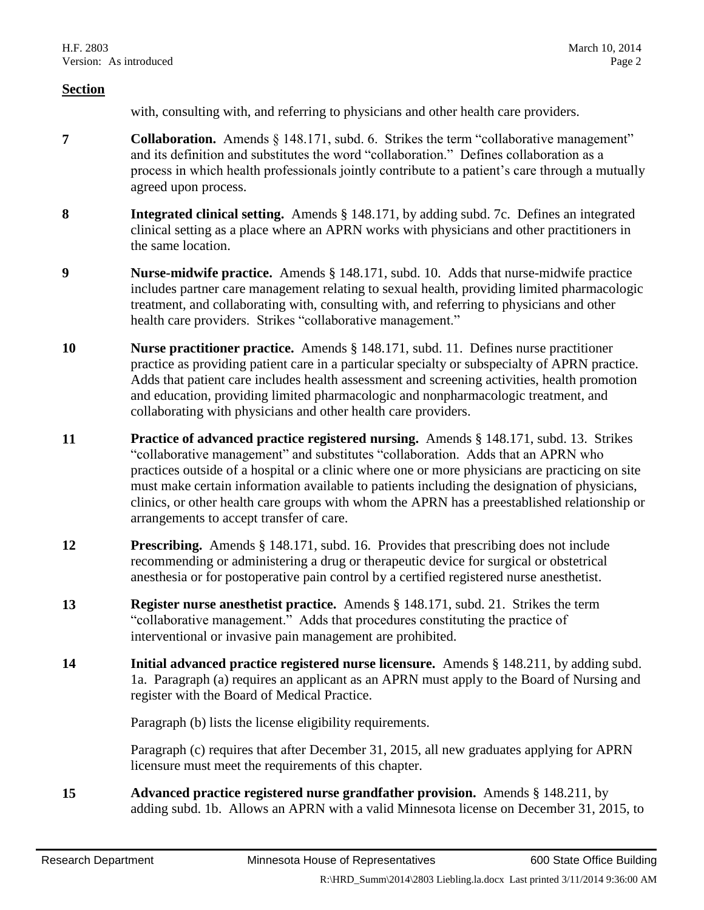## **Section**

with, consulting with, and referring to physicians and other health care providers.

- **7 Collaboration.** Amends § 148.171, subd. 6. Strikes the term "collaborative management" and its definition and substitutes the word "collaboration." Defines collaboration as a process in which health professionals jointly contribute to a patient's care through a mutually agreed upon process.
- **8 Integrated clinical setting.** Amends § 148.171, by adding subd. 7c. Defines an integrated clinical setting as a place where an APRN works with physicians and other practitioners in the same location.
- **9 Nurse-midwife practice.** Amends § 148.171, subd. 10. Adds that nurse-midwife practice includes partner care management relating to sexual health, providing limited pharmacologic treatment, and collaborating with, consulting with, and referring to physicians and other health care providers. Strikes "collaborative management."
- **10 Nurse practitioner practice.** Amends § 148.171, subd. 11. Defines nurse practitioner practice as providing patient care in a particular specialty or subspecialty of APRN practice. Adds that patient care includes health assessment and screening activities, health promotion and education, providing limited pharmacologic and nonpharmacologic treatment, and collaborating with physicians and other health care providers.
- **11 Practice of advanced practice registered nursing.** Amends § 148.171, subd. 13. Strikes "collaborative management" and substitutes "collaboration. Adds that an APRN who practices outside of a hospital or a clinic where one or more physicians are practicing on site must make certain information available to patients including the designation of physicians, clinics, or other health care groups with whom the APRN has a preestablished relationship or arrangements to accept transfer of care.
- **12 Prescribing.** Amends § 148.171, subd. 16. Provides that prescribing does not include recommending or administering a drug or therapeutic device for surgical or obstetrical anesthesia or for postoperative pain control by a certified registered nurse anesthetist.
- **13 Register nurse anesthetist practice.** Amends § 148.171, subd. 21. Strikes the term "collaborative management." Adds that procedures constituting the practice of interventional or invasive pain management are prohibited.
- **14 Initial advanced practice registered nurse licensure.** Amends § 148.211, by adding subd. 1a. Paragraph (a) requires an applicant as an APRN must apply to the Board of Nursing and register with the Board of Medical Practice.

Paragraph (b) lists the license eligibility requirements.

Paragraph (c) requires that after December 31, 2015, all new graduates applying for APRN licensure must meet the requirements of this chapter.

**15 Advanced practice registered nurse grandfather provision.** Amends § 148.211, by adding subd. 1b. Allows an APRN with a valid Minnesota license on December 31, 2015, to